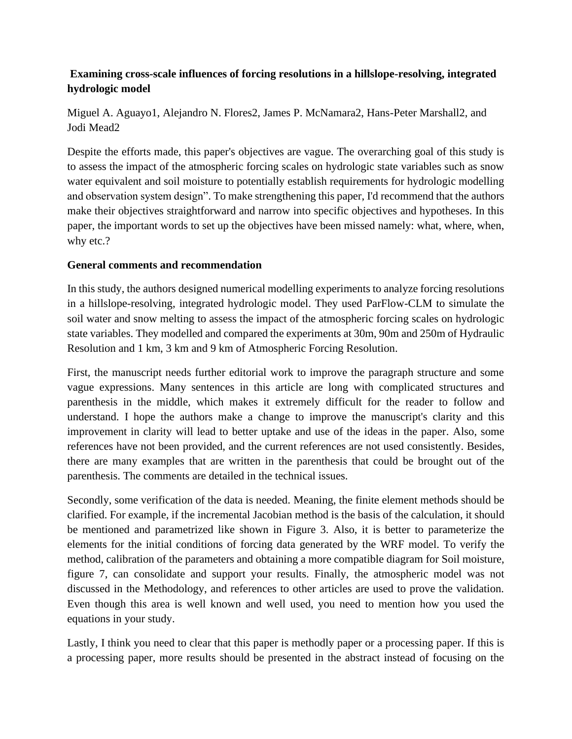## **Examining cross-scale influences of forcing resolutions in a hillslope-resolving, integrated hydrologic model**

Miguel A. Aguayo1, Alejandro N. Flores2, James P. McNamara2, Hans-Peter Marshall2, and Jodi Mead2

Despite the efforts made, this paper's objectives are vague. The overarching goal of this study is to assess the impact of the atmospheric forcing scales on hydrologic state variables such as snow water equivalent and soil moisture to potentially establish requirements for hydrologic modelling and observation system design". To make strengthening this paper, I'd recommend that the authors make their objectives straightforward and narrow into specific objectives and hypotheses. In this paper, the important words to set up the objectives have been missed namely: what, where, when, why etc.?

## **General comments and recommendation**

In this study, the authors designed numerical modelling experiments to analyze forcing resolutions in a hillslope-resolving, integrated hydrologic model. They used ParFlow-CLM to simulate the soil water and snow melting to assess the impact of the atmospheric forcing scales on hydrologic state variables. They modelled and compared the experiments at 30m, 90m and 250m of Hydraulic Resolution and 1 km, 3 km and 9 km of Atmospheric Forcing Resolution.

First, the manuscript needs further editorial work to improve the paragraph structure and some vague expressions. Many sentences in this article are long with complicated structures and parenthesis in the middle, which makes it extremely difficult for the reader to follow and understand. I hope the authors make a change to improve the manuscript's clarity and this improvement in clarity will lead to better uptake and use of the ideas in the paper. Also, some references have not been provided, and the current references are not used consistently. Besides, there are many examples that are written in the parenthesis that could be brought out of the parenthesis. The comments are detailed in the technical issues.

Secondly, some verification of the data is needed. Meaning, the finite element methods should be clarified. For example, if the incremental Jacobian method is the basis of the calculation, it should be mentioned and parametrized like shown in Figure 3. Also, it is better to parameterize the elements for the initial conditions of forcing data generated by the WRF model. To verify the method, calibration of the parameters and obtaining a more compatible diagram for Soil moisture, figure 7, can consolidate and support your results. Finally, the atmospheric model was not discussed in the Methodology, and references to other articles are used to prove the validation. Even though this area is well known and well used, you need to mention how you used the equations in your study.

Lastly, I think you need to clear that this paper is methodly paper or a processing paper. If this is a processing paper, more results should be presented in the abstract instead of focusing on the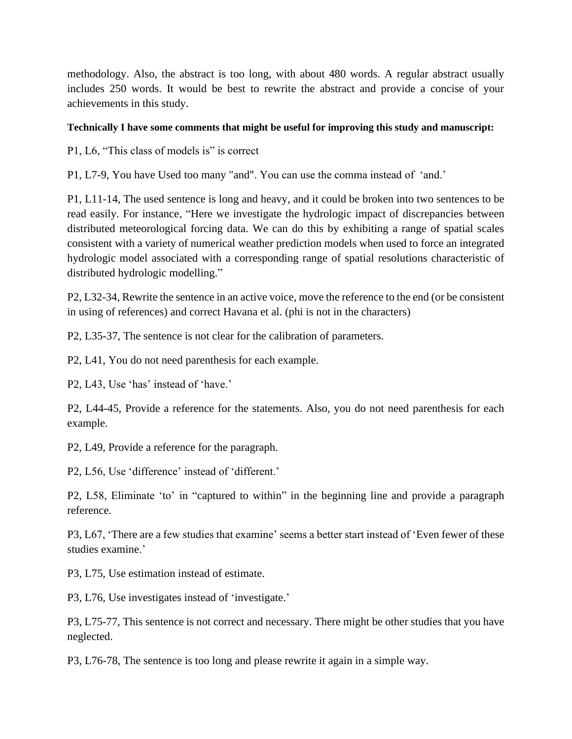methodology. Also, the abstract is too long, with about 480 words. A regular abstract usually includes 250 words. It would be best to rewrite the abstract and provide a concise of your achievements in this study.

## **Technically I have some comments that might be useful for improving this study and manuscript:**

P1, L6, "This class of models is" is correct

P1, L7-9, You have Used too many "and". You can use the comma instead of 'and.'

P1, L11-14, The used sentence is long and heavy, and it could be broken into two sentences to be read easily. For instance, "Here we investigate the hydrologic impact of discrepancies between distributed meteorological forcing data. We can do this by exhibiting a range of spatial scales consistent with a variety of numerical weather prediction models when used to force an integrated hydrologic model associated with a corresponding range of spatial resolutions characteristic of distributed hydrologic modelling."

P2, L32-34, Rewrite the sentence in an active voice, move the reference to the end (or be consistent in using of references) and correct Havana et al. (phi is not in the characters)

P2, L35-37, The sentence is not clear for the calibration of parameters.

P2, L41, You do not need parenthesis for each example.

P2, L43, Use 'has' instead of 'have.'

P2, L44-45, Provide a reference for the statements. Also, you do not need parenthesis for each example.

P2, L49, Provide a reference for the paragraph.

P2, L56, Use 'difference' instead of 'different.'

P2, L58, Eliminate 'to' in "captured to within" in the beginning line and provide a paragraph reference.

P3, L67, 'There are a few studies that examine' seems a better start instead of 'Even fewer of these studies examine.'

P3, L75, Use estimation instead of estimate.

P3, L76, Use investigates instead of 'investigate.'

P3, L75-77, This sentence is not correct and necessary. There might be other studies that you have neglected.

P3, L76-78, The sentence is too long and please rewrite it again in a simple way.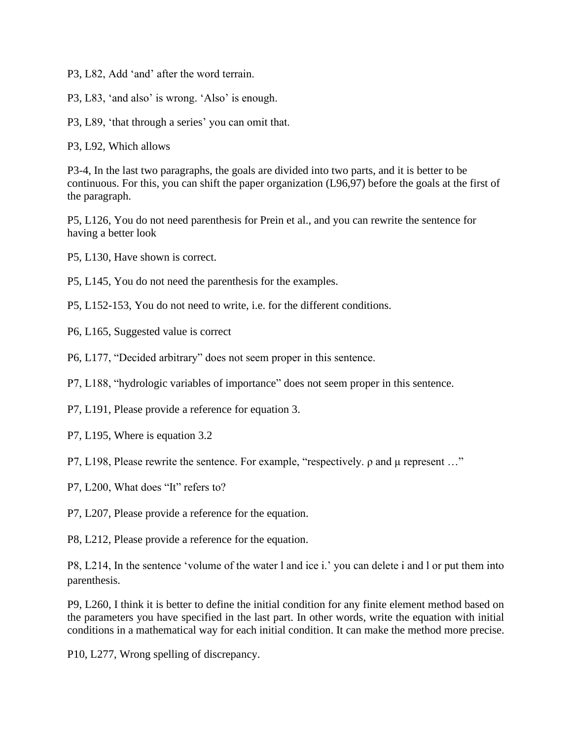P3, L82, Add 'and' after the word terrain.

P3, L83, 'and also' is wrong. 'Also' is enough.

P3, L89, 'that through a series' you can omit that.

P3, L92, Which allows

P3-4, In the last two paragraphs, the goals are divided into two parts, and it is better to be continuous. For this, you can shift the paper organization (L96,97) before the goals at the first of the paragraph.

P5, L126, You do not need parenthesis for Prein et al., and you can rewrite the sentence for having a better look

P5, L130, Have shown is correct.

P5, L145, You do not need the parenthesis for the examples.

P5, L152-153, You do not need to write, i.e. for the different conditions.

P6, L165, Suggested value is correct

P6, L177, "Decided arbitrary" does not seem proper in this sentence.

P7, L188, "hydrologic variables of importance" does not seem proper in this sentence.

P7, L191, Please provide a reference for equation 3.

P7, L195, Where is equation 3.2

P7, L198, Please rewrite the sentence. For example, "respectively. ρ and μ represent …"

P7, L200, What does "It" refers to?

P7, L207, Please provide a reference for the equation.

P8, L212, Please provide a reference for the equation.

P8, L214, In the sentence 'volume of the water l and ice i.' you can delete i and l or put them into parenthesis.

P9, L260, I think it is better to define the initial condition for any finite element method based on the parameters you have specified in the last part. In other words, write the equation with initial conditions in a mathematical way for each initial condition. It can make the method more precise.

P10, L277, Wrong spelling of discrepancy.